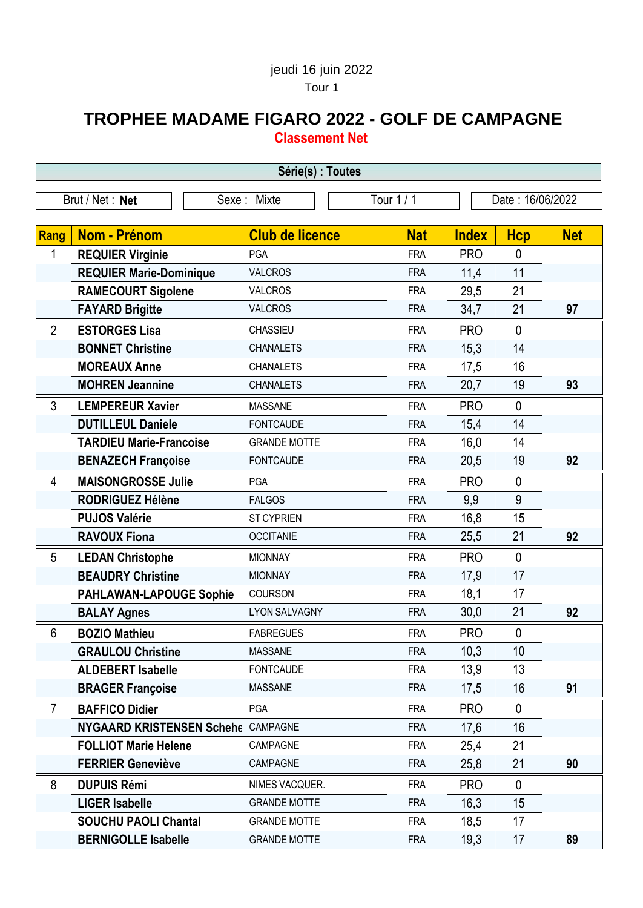## jeudi 16 juin 2022 Tour 1

## **TROPHEE MADAME FIGARO 2022 - GOLF DE CAMPAGNE Classement Net**

| Série(s) : Toutes |                                    |                        |            |              |                  |            |  |
|-------------------|------------------------------------|------------------------|------------|--------------|------------------|------------|--|
|                   | Brut / Net: Net                    | Sexe: Mixte            | Tour 1 / 1 |              | Date: 16/06/2022 |            |  |
|                   |                                    |                        |            |              |                  |            |  |
| Rang              | Nom - Prénom                       | <b>Club de licence</b> | <b>Nat</b> | <b>Index</b> | <b>Hcp</b>       | <b>Net</b> |  |
| 1                 | <b>REQUIER Virginie</b>            | PGA                    | <b>FRA</b> | <b>PRO</b>   | $\mathbf 0$      |            |  |
|                   | <b>REQUIER Marie-Dominique</b>     | <b>VALCROS</b>         | <b>FRA</b> | 11,4         | 11               |            |  |
|                   | <b>RAMECOURT Sigolene</b>          | <b>VALCROS</b>         | <b>FRA</b> | 29,5         | 21               |            |  |
|                   | <b>FAYARD Brigitte</b>             | <b>VALCROS</b>         | <b>FRA</b> | 34,7         | 21               | 97         |  |
| $\overline{2}$    | <b>ESTORGES Lisa</b>               | CHASSIEU               | <b>FRA</b> | <b>PRO</b>   | $\mathbf 0$      |            |  |
|                   | <b>BONNET Christine</b>            | <b>CHANALETS</b>       | <b>FRA</b> | 15,3         | 14               |            |  |
|                   | <b>MOREAUX Anne</b>                | <b>CHANALETS</b>       | <b>FRA</b> | 17,5         | 16               |            |  |
|                   | <b>MOHREN Jeannine</b>             | <b>CHANALETS</b>       | <b>FRA</b> | 20,7         | 19               | 93         |  |
| 3                 | <b>LEMPEREUR Xavier</b>            | <b>MASSANE</b>         | <b>FRA</b> | <b>PRO</b>   | $\mathbf 0$      |            |  |
|                   | <b>DUTILLEUL Daniele</b>           | <b>FONTCAUDE</b>       | <b>FRA</b> | 15,4         | 14               |            |  |
|                   | <b>TARDIEU Marie-Francoise</b>     | <b>GRANDE MOTTE</b>    | <b>FRA</b> | 16,0         | 14               |            |  |
|                   | <b>BENAZECH Françoise</b>          | <b>FONTCAUDE</b>       | <b>FRA</b> | 20,5         | 19               | 92         |  |
| $\overline{4}$    | <b>MAISONGROSSE Julie</b>          | PGA                    | <b>FRA</b> | <b>PRO</b>   | $\mathbf 0$      |            |  |
|                   | <b>RODRIGUEZ Hélène</b>            | <b>FALGOS</b>          | <b>FRA</b> | 9,9          | 9                |            |  |
|                   | <b>PUJOS Valérie</b>               | <b>ST CYPRIEN</b>      | <b>FRA</b> | 16,8         | 15               |            |  |
|                   | <b>RAVOUX Fiona</b>                | <b>OCCITANIE</b>       | <b>FRA</b> | 25,5         | 21               | 92         |  |
| 5                 | <b>LEDAN Christophe</b>            | <b>MIONNAY</b>         | <b>FRA</b> | <b>PRO</b>   | $\mathbf 0$      |            |  |
|                   | <b>BEAUDRY Christine</b>           | <b>MIONNAY</b>         | <b>FRA</b> | 17,9         | 17               |            |  |
|                   | <b>PAHLAWAN-LAPOUGE Sophie</b>     | <b>COURSON</b>         | <b>FRA</b> | 18,1         | 17               |            |  |
|                   | <b>BALAY Agnes</b>                 | <b>LYON SALVAGNY</b>   | <b>FRA</b> | 30,0         | 21               | 92         |  |
| 6                 | <b>BOZIO Mathieu</b>               | <b>FABREGUES</b>       | <b>FRA</b> | <b>PRO</b>   | 0                |            |  |
|                   | <b>GRAULOU Christine</b>           | <b>MASSANE</b>         | <b>FRA</b> | 10,3         | 10               |            |  |
|                   | <b>ALDEBERT Isabelle</b>           | <b>FONTCAUDE</b>       | <b>FRA</b> | 13,9         | 13               |            |  |
|                   | <b>BRAGER Françoise</b>            | <b>MASSANE</b>         | <b>FRA</b> | 17,5         | 16               | 91         |  |
| $\overline{7}$    | <b>BAFFICO Didier</b>              | PGA                    | <b>FRA</b> | <b>PRO</b>   | $\mathbf 0$      |            |  |
|                   | NYGAARD KRISTENSEN Schehe CAMPAGNE |                        | <b>FRA</b> | 17,6         | 16               |            |  |
|                   | <b>FOLLIOT Marie Helene</b>        | CAMPAGNE               | <b>FRA</b> | 25,4         | 21               |            |  |
|                   | <b>FERRIER Geneviève</b>           | CAMPAGNE               | <b>FRA</b> | 25,8         | 21               | 90         |  |
| 8                 | <b>DUPUIS Rémi</b>                 | NIMES VACQUER.         | <b>FRA</b> | <b>PRO</b>   | $\mathbf 0$      |            |  |
|                   | <b>LIGER Isabelle</b>              | <b>GRANDE MOTTE</b>    | <b>FRA</b> | 16,3         | 15               |            |  |
|                   | <b>SOUCHU PAOLI Chantal</b>        | <b>GRANDE MOTTE</b>    | <b>FRA</b> | 18,5         | 17               |            |  |
|                   | <b>BERNIGOLLE Isabelle</b>         | <b>GRANDE MOTTE</b>    | <b>FRA</b> | 19,3         | 17               | 89         |  |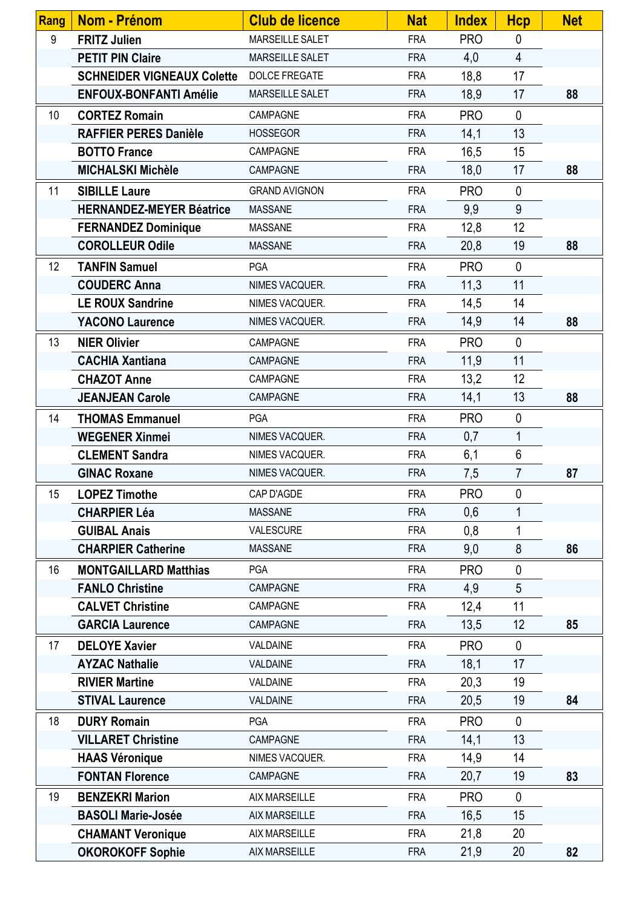| <b>Rang</b> | <b>Nom - Prénom</b>               | <b>Club de licence</b> | <b>Nat</b> | <b>Index</b> | <b>Hcp</b>     | <b>Net</b> |
|-------------|-----------------------------------|------------------------|------------|--------------|----------------|------------|
| 9           | <b>FRITZ Julien</b>               | <b>MARSEILLE SALET</b> | <b>FRA</b> | <b>PRO</b>   | $\mathbf 0$    |            |
|             | <b>PETIT PIN Claire</b>           | MARSEILLE SALET        | <b>FRA</b> | 4,0          | $\overline{4}$ |            |
|             | <b>SCHNEIDER VIGNEAUX Colette</b> | <b>DOLCE FREGATE</b>   | <b>FRA</b> | 18,8         | 17             |            |
|             | <b>ENFOUX-BONFANTI Amélie</b>     | MARSEILLE SALET        | <b>FRA</b> | 18,9         | 17             | 88         |
| 10          | <b>CORTEZ Romain</b>              | CAMPAGNE               | <b>FRA</b> | <b>PRO</b>   | $\mathbf 0$    |            |
|             | <b>RAFFIER PERES Danièle</b>      | <b>HOSSEGOR</b>        | <b>FRA</b> | 14,1         | 13             |            |
|             | <b>BOTTO France</b>               | CAMPAGNE               | <b>FRA</b> | 16,5         | 15             |            |
|             | <b>MICHALSKI Michèle</b>          | CAMPAGNE               | <b>FRA</b> | 18,0         | 17             | 88         |
| 11          | <b>SIBILLE Laure</b>              | <b>GRAND AVIGNON</b>   | <b>FRA</b> | <b>PRO</b>   | $\mathbf 0$    |            |
|             | <b>HERNANDEZ-MEYER Béatrice</b>   | <b>MASSANE</b>         | <b>FRA</b> | 9,9          | 9              |            |
|             | <b>FERNANDEZ Dominique</b>        | <b>MASSANE</b>         | <b>FRA</b> | 12,8         | 12             |            |
|             | <b>COROLLEUR Odile</b>            | <b>MASSANE</b>         | <b>FRA</b> | 20,8         | 19             | 88         |
| 12          | <b>TANFIN Samuel</b>              | PGA                    | <b>FRA</b> | <b>PRO</b>   | $\mathbf{0}$   |            |
|             | <b>COUDERC Anna</b>               | NIMES VACQUER.         | <b>FRA</b> | 11,3         | 11             |            |
|             | <b>LE ROUX Sandrine</b>           | NIMES VACQUER.         | <b>FRA</b> | 14,5         | 14             |            |
|             | <b>YACONO Laurence</b>            | NIMES VACQUER.         | <b>FRA</b> | 14,9         | 14             | 88         |
| 13          | <b>NIER Olivier</b>               | CAMPAGNE               | <b>FRA</b> | <b>PRO</b>   | $\mathbf{0}$   |            |
|             | <b>CACHIA Xantiana</b>            | CAMPAGNE               | <b>FRA</b> | 11,9         | 11             |            |
|             | <b>CHAZOT Anne</b>                | CAMPAGNE               | <b>FRA</b> | 13,2         | 12             |            |
|             | <b>JEANJEAN Carole</b>            | CAMPAGNE               | <b>FRA</b> | 14,1         | 13             | 88         |
| 14          | <b>THOMAS Emmanuel</b>            | <b>PGA</b>             | <b>FRA</b> | <b>PRO</b>   | $\mathbf{0}$   |            |
|             | <b>WEGENER Xinmei</b>             | NIMES VACQUER.         | <b>FRA</b> | 0,7          | $\mathbf{1}$   |            |
|             | <b>CLEMENT Sandra</b>             | NIMES VACQUER.         | <b>FRA</b> | 6,1          | $6\phantom{1}$ |            |
|             | <b>GINAC Roxane</b>               | NIMES VACQUER.         | <b>FRA</b> | 7,5          | $\overline{7}$ | 87         |
| 15          | <b>LOPEZ Timothe</b>              | CAP D'AGDE             | <b>FRA</b> | <b>PRO</b>   | 0              |            |
|             | <b>CHARPIER Léa</b>               | <b>MASSANE</b>         | <b>FRA</b> | 0,6          | 1              |            |
|             | <b>GUIBAL Anais</b>               | VALESCURE              | <b>FRA</b> | 0,8          | 1              |            |
|             | <b>CHARPIER Catherine</b>         | <b>MASSANE</b>         | <b>FRA</b> | 9,0          | 8              | 86         |
| 16          | <b>MONTGAILLARD Matthias</b>      | PGA                    | <b>FRA</b> | <b>PRO</b>   | $\mathbf 0$    |            |
|             | <b>FANLO Christine</b>            | CAMPAGNE               | <b>FRA</b> | 4,9          | 5              |            |
|             | <b>CALVET Christine</b>           | CAMPAGNE               | <b>FRA</b> | 12,4         | 11             |            |
|             | <b>GARCIA Laurence</b>            | CAMPAGNE               | <b>FRA</b> | 13,5         | 12             | 85         |
| 17          | <b>DELOYE Xavier</b>              | VALDAINE               | <b>FRA</b> | <b>PRO</b>   | $\mathbf 0$    |            |
|             | <b>AYZAC Nathalie</b>             | VALDAINE               | <b>FRA</b> | 18,1         | 17             |            |
|             | <b>RIVIER Martine</b>             | VALDAINE               | <b>FRA</b> | 20,3         | 19             |            |
|             | <b>STIVAL Laurence</b>            | VALDAINE               | <b>FRA</b> | 20,5         | 19             | 84         |
| 18          | <b>DURY Romain</b>                | PGA                    | <b>FRA</b> | <b>PRO</b>   | $\mathbf{0}$   |            |
|             | <b>VILLARET Christine</b>         | CAMPAGNE               | <b>FRA</b> | 14,1         | 13             |            |
|             | <b>HAAS Véronique</b>             | NIMES VACQUER.         | <b>FRA</b> | 14,9         | 14             |            |
|             | <b>FONTAN Florence</b>            | CAMPAGNE               | <b>FRA</b> | 20,7         | 19             | 83         |
| 19          | <b>BENZEKRI Marion</b>            | <b>AIX MARSEILLE</b>   | <b>FRA</b> | <b>PRO</b>   | $\mathbf{0}$   |            |
|             | <b>BASOLI Marie-Josée</b>         | <b>AIX MARSEILLE</b>   | <b>FRA</b> | 16,5         | 15             |            |
|             | <b>CHAMANT Veronique</b>          | <b>AIX MARSEILLE</b>   | <b>FRA</b> | 21,8         | 20             |            |
|             | <b>OKOROKOFF Sophie</b>           | AIX MARSEILLE          | <b>FRA</b> | 21,9         | 20             | 82         |